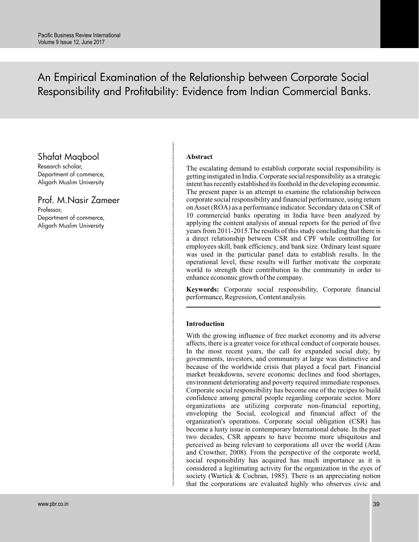An Empirical Examination of the Relationship between Corporate Social Responsibility and Profitability: Evidence from Indian Commercial Banks.

# Shafat Maqbool

Research scholar, Department of commerce, Aligarh Muslim University

Prof. M.Nasir Zameer Professor, Department of commerce, Aligarh Muslim University

## **Abstract**

The escalating demand to establish corporate social responsibility is getting instigated in India. Corporate social responsibility as a strategic intent has recently established its foothold in the developing economic. The present paper is an attempt to examine the relationship between corporate social responsibility and financial performance, using return on Asset (ROA) as a performance indicator. Secondary data on CSR of 10 commercial banks operating in India have been analyzed by applying the content analysis of annual reports for the period of five years from 2011-2015.The results of this study concluding that there is a direct relationship between CSR and CPF while controlling for employees skill, bank efficiency, and bank size. Ordinary least square was used in the particular panel data to establish results. In the operational level, these results will further motivate the corporate world to strength their contribution to the community in order to enhance economic growth of the company.

**Keywords:** Corporate social responsibility, Corporate financial performance, Regression, Content analysis.

## **Introduction**

With the growing influence of free market economy and its adverse affects, there is a greater voice for ethical conduct of corporate houses. In the most recent years, the call for expanded social duty, by governments, investors, and community at large was distinctive and because of the worldwide crisis that played a focal part. Financial market breakdowns, severe economic declines and food shortages, environment deteriorating and poverty required immediate responses. Corporate social responsibility has become one of the recipes to build confidence among general people regarding corporate sector. More organizations are utilizing corporate non-financial reporting, enveloping the Social, ecological and financial affect of the organization's operations. Corporate social obligation (CSR) has become a lusty issue in contemporary International debate. In the past two decades, CSR appears to have become more ubiquitous and perceived as being relevant to corporations all over the world (Aras and Crowther, 2008). From the perspective of the corporate world, social responsibility has acquired has much importance as it is considered a legitimating activity for the organization in the eyes of society (Wartick & Cochran, 1985). There is an appreciating notion that the corporations are evaluated highly who observes civic and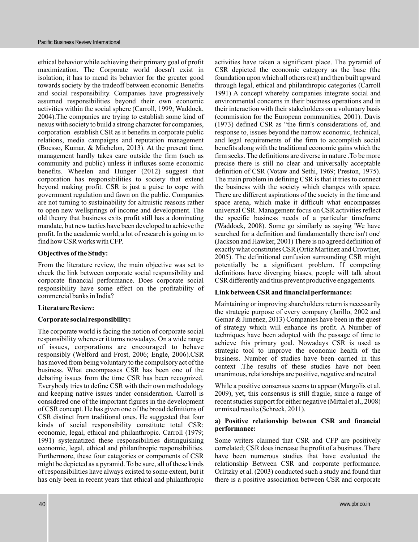ethical behavior while achieving their primary goal of profit maximization. The Corporate world doesn't exist in isolation; it has to mend its behavior for the greater good towards society by the tradeoff between economic Benefits and social responsibility. Companies have progressively assumed responsibilities beyond their own economic activities within the social sphere (Carroll, 1999; Waddock, 2004).The companies are trying to establish some kind of nexus with society to build a strong character for companies, corporation establish CSR as it benefits in corporate public relations, media campaigns and reputation management (Boesso, Kumar, & Michelon, 2013). At the present time, management hardly takes care outside the firm (such as community and public) unless it influxes some economic benefits. Wheelen and Hunger (2012) suggest that corporation has responsibilities to society that extend beyond making profit. CSR is just a guise to cope with government regulation and fawn on the public. Companies are not turning to sustainability for altruistic reasons rather to open new wellsprings of income and development. The old theory that business exits profit still has a dominating mandate, but new tactics have been developed to achieve the profit. In the academic world, a lot of research is going on to find how CSR works with CFP.

## **Objectives of the Study:**

From the literature review, the main objective was set to check the link between corporate social responsibility and corporate financial performance. Does corporate social responsibility have some effect on the profitability of commercial banks in India?

## **Literature Review:**

## **Corporate social responsibility:**

The corporate world is facing the notion of corporate social responsibility wherever it turns nowadays. On a wide range of issues, corporations are encouraged to behave responsibly (Welford and Frost, 2006; Engle, 2006).CSR has moved from being voluntary to the compulsory act of the business. What encompasses CSR has been one of the debating issues from the time CSR has been recognized. Everybody tries to define CSR with their own methodology and keeping native issues under consideration. Carroll is considered one of the important figures in the development of CSR concept. He has given one of the broad definitions of CSR distinct from traditional ones. He suggested that four kinds of social responsibility constitute total CSR: economic, legal, ethical and philanthropic. Carroll (1979; 1991) systematized these responsibilities distinguishing economic, legal, ethical and philanthropic responsibilities. Furthermore, these four categories or components of CSR might be depicted as a pyramid. To be sure, all of these kinds of responsibilities have always existed to some extent, but it has only been in recent years that ethical and philanthropic

activities have taken a significant place. The pyramid of CSR depicted the economic category as the base (the foundation upon which all others rest) and then built upward through legal, ethical and philanthropic categories (Carroll 1991) A concept whereby companies integrate social and environmental concerns in their business operations and in their interaction with their stakeholders on a voluntary basis (commission for the European communities, 2001). Davis (1973) defined CSR as "the firm's considerations of, and response to, issues beyond the narrow economic, technical, and legal requirements of the firm to accomplish social benefits along with the traditional economic gains which the firm seeks. The definitions are diverse in nature .To be more precise there is still no clear and universally acceptable definition of CSR (Votaw and Sethi, 1969; Preston, 1975). The main problem in defining CSR is that it tries to connect the business with the society which changes with space. There are different aspirations of the society in the time and space arena, which make it difficult what encompasses universal CSR. Management focus on CSR activities reflect the specific business needs of a particular timeframe (Waddock, 2008). Some go similarly as saying 'We have searched for a definition and fundamentally there isn't one' (Jackson and Hawker, 2001) There is no agreed definition of exactly what constitutes CSR (Ortiz Martinez and Crowther, 2005). The definitional confusion surrounding CSR might potentially be a significant problem. If competing definitions have diverging biases, people will talk about CSR differently and thus prevent productive engagements.

## **Link between CSR and financial performance:**

Maintaining or improving shareholders return is necessarily the strategic purpose of every company (Jarillo, 2002 and Gemar & Jimenez, 2013) Companies have been in the quest of strategy which will enhance its profit. A Number of techniques have been adopted with the passage of time to achieve this primary goal. Nowadays CSR is used as strategic tool to improve the economic health of the business. Number of studies have been carried in this context .The results of these studies have not been unanimous, relationships are positive, negative and neutral

While a positive consensus seems to appear (Margolis et al. 2009), yet, this consensus is still fragile, since a range of recent studies support for either negative (Mittal et al., 2008) or mixed results (Schreck, 2011).

## **a) Positive relationship between CSR and financial performance:**

Some writers claimed that CSR and CFP are positively correlated; CSR does increase the profit of a business. There have been numerous studies that have evaluated the relationship Between CSR and corporate performance. Orlitzky et al. (2003) conducted such a study and found that there is a positive association between CSR and corporate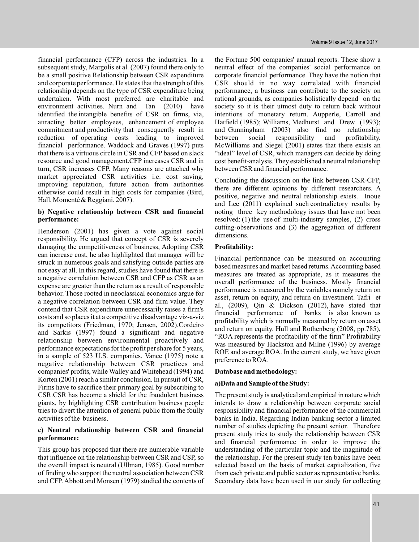financial performance (CFP) across the industries. In a subsequent study, Margolis et al. (2007) found there only to be a small positive Relationship between CSR expenditure and corporate performance. He states that the strength of this relationship depends on the type of CSR expenditure being undertaken. With most preferred are charitable and environment activities. Nurn and Tan (2010) have identified the intangible benefits of CSR on firms, via, attracting better employees, enhancement of employee commitment and productivity that consequently result in reduction of operating costs leading to improved financial performance. Waddock and Graves (1997) puts that there is a virtuous circle in CSR and CFP based on slack resource and good management.CFP increases CSR and in turn, CSR increases CFP. Many reasons are attached why market appreciated CSR activities i.e. cost saving, improving reputation, future action from authorities otherwise could result in high costs for companies (Bird, Hall, Momentè & Reggiani, 2007).

## **b) Negative relationship between CSR and financial performance:**

Henderson (2001) has given a vote against social responsibility. He argued that concept of CSR is severely damaging the competitiveness of business, Adopting CSR can increase cost, he also highlighted that manager will be struck in numerous goals and satisfying outside parties are not easy at all. In this regard, studies have found that there is a negative correlation between CSR and CFP as CSR as an expense are greater than the return as a result of responsible behavior. Those rooted in neoclassical economics argue for a negative correlation between CSR and firm value. They contend that CSR expenditure unnecessarily raises a firm's costs and so places it at a competitive disadvantage viz-a-viz its competitors (Friedman, 1970; Jensen, 2002).Cordeiro and Sarkis (1997) found a significant and negative relationship between environmental proactively and performance expectations for the profit per share for 5 years, in a sample of 523 U.S. companies. Vance (1975) note a negative relationship between CSR practices and companies' profits, while Walley and Whitehead (1994) and Korten (2001) reach a similar conclusion. In pursuit of CSR, Firms have to sacrifice their primary goal by subscribing to CSR.CSR has become a shield for the fraudulent business giants, by highlighting CSR contribution business people tries to divert the attention of general public from the foully activities of the business.

## **c) Neutral relationship between CSR and financial performance:**

This group has proposed that there are numerable variable that influence on the relationship between CSR and CSP, so the overall impact is neutral (Ullman, 1985). Good number of finding who support the neutral association between CSR and CFP. Abbott and Monsen (1979) studied the contents of

the Fortune 500 companies' annual reports. These show a neutral effect of the companies' social performance on corporate financial performance. They have the notion that CSR should in no way correlated with financial performance, a business can contribute to the society on rational grounds, as companies holistically depend on the society so it is their utmost duty to return back without intentions of monetary return. Aupperle, Carroll and Hatfield (1985); Williams, Medhurst and Drew (1993); and Gunningham (2003) also find no relationship between social responsibility and profitability. McWilliams and Siegel (2001) states that there exists an "ideal" level of CSR, which managers can decide by doing cost benefit-analysis. They established a neutral relationship between CSR and financial performance.

Concluding the discussion on the link between CSR-CFP, there are different opinions by different researchers. A positive, negative and neutral relationship exists. Inoue and Lee (2011) explained such contradictory results by noting three key methodology issues that have not been resolved: (1) the use of multi-industry samples, (2) cross cutting-observations and (3) the aggregation of different dimensions.

## **Profitability:**

Financial performance can be measured on accounting based measures and market based returns.Accounting based measures are treated as appropriate, as it measures the overall performance of the business. Mostly financial performance is measured by the variables namely return on asset, return on equity, and return on investment. Tafri et al., (2009), Qin & Dickson (2012), have stated that financial performance of banks is also known as profitability which is normally measured by return on asset and return on equity. Hull and Rothenberg (2008, pp.785), "ROA represents the profitability of the firm" Profitability was measured by Hackston and Milne (1996) by average ROE and average ROA. In the current study, we have given preference to ROA.

## **Database and methodology:**

## **a)Data and Sample of the Study:**

The present study is analytical and empirical in nature which intends to draw a relationship between corporate social responsibility and financial performance of the commercial banks in India. Regarding Indian banking sector a limited number of studies depicting the present senior. Therefore present study tries to study the relationship between CSR and financial performance in order to improve the understanding of the particular topic and the magnitude of the relationship. For the present study ten banks have been selected based on the basis of market capitalization, five from each private and public sector as representative banks. Secondary data have been used in our study for collecting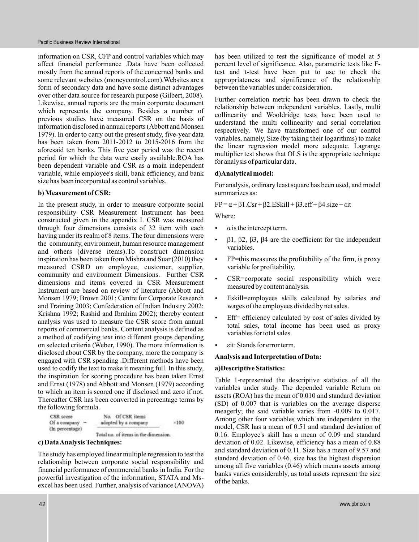information on CSR, CFP and control variables which may affect financial performance .Data have been collected mostly from the annual reports of the concerned banks and some relevant websites (moneycontrol.com).Websites are a form of secondary data and have some distinct advantages over other data source for research purpose (Gilbert, 2008). Likewise, annual reports are the main corporate document which represents the company. Besides a number of previous studies have measured CSR on the basis of information disclosed in annual reports (Abbott and Monsen 1979). In order to carry out the present study, five-year data has been taken from 2011-2012 to 2015-2016 from the aforesaid ten banks. This five year period was the recent period for which the data were easily available.ROA has been dependent variable and CSR as a main independent variable, while employee's skill, bank efficiency, and bank size has been incorporated as control variables.

## **b) Measurement of CSR:**

In the present study, in order to measure corporate social responsibility CSR Measurement Instrument has been constructed given in the appendix I. CSR was measured through four dimensions consists of 32 item with each having under its realm of 8 items. The four dimensions were the community, environment, human resource management and others (diverse items).To construct dimension inspiration has been taken from Mishra and Suar (2010) they measured CSRD on employee, customer, supplier, community and environment Dimensions. Further CSR dimensions and items covered in CSR Measurement Instrument are based on review of literature (Abbott and Monsen 1979; Brown 2001; Centre for Corporate Research and Training 2003; Confederation of Indian Industry 2002; Krishna 1992; Rashid and Ibrahim 2002); thereby content analysis was used to measure the CSR score from annual reports of commercial banks. Content analysis is defined as a method of codifying text into different groups depending on selected criteria (Weber, 1990). The more information is disclosed about CSR by the company, more the company is engaged with CSR spending .Different methods have been used to codify the text to make it meaning full. In this study, the inspiration for scoring procedure has been taken Ernst and Ernst (1978) and Abbott and Monsen (1979) according to which an item is scored one if disclosed and zero if not. Thereafter CSR has been converted in percentage terms by the following formula.

| CSR score        | No. Of CSR items     |      |
|------------------|----------------------|------|
| Of a company $-$ | adopted by a company | ×100 |
| (in percentage)  |                      |      |

Total no. of items in the dimension.

## **c) DataAnalysis Techniques:**

The study has employed linear multiple regression to test the relationship between corporate social responsibility and financial performance of commercial banks in India. For the powerful investigation of the information, STATA and Msexcel has been used. Further, analysis of variance (ANOVA) has been utilized to test the significance of model at 5 percent level of significance. Also, parametric tests like Ftest and t-test have been put to use to check the appropriateness and significance of the relationship between the variables under consideration.

Further correlation metric has been drawn to check the relationship between independent variables. Lastly, multi collinearity and Wooldridge tests have been used to understand the multi collinearity and serial correlation respectively. We have transformed one of our control variables, namely, Size (by taking their logarithms) to make the linear regression model more adequate. Lagrange multiplier test shows that OLS is the appropriate technique for analysis of particular data.

## **d)Analytical model:**

For analysis, ordinary least square has been used, and model summarizes as:

 $FP = \alpha + \beta1.Csr + \beta2.ESkill + \beta3.eff + \beta4.size + \epsilon it$ 

Where:

- $\alpha$  is the intercept term.  $\bullet$
- $β1, β2, β3, β4$  are the coefficient for the independent variables. .
- FP=this measures the profitability of the firm, is proxy variable for profitability. .
- CSR=corporate social responsibility which were measured by content analysis.  $\bullet$
- Eskill=employees skills calculated by salaries and wages of the employees divided by net sales. .
- Eff= efficiency calculated by cost of sales divided by total sales, total income has been used as proxy variables for total sales. .
- : Stands for error term. εit .

## **Analysis and Interpretation of Data:**

## **a)Descriptive Statistics:**

Table 1-represented the descriptive statistics of all the variables under study. The depended variable Return on assets (ROA) has the mean of 0.010 and standard deviation (SD) of 0.007 that is variables on the average disperse meagerly; the said variable varies from -0.009 to 0.017. Among other four variables which are independent in the model, CSR has a mean of 0.51 and standard deviation of 0.16. Employee's skill has a mean of 0.09 and standard deviation of 0.02. Likewise, efficiency has a mean of 0.88 and standard deviation of 0.11. Size has a mean of 9.57 and standard deviation of 0.46, size has the highest dispersion among all five variables (0.46) which means assets among banks varies considerably, as total assets represent the size of the banks.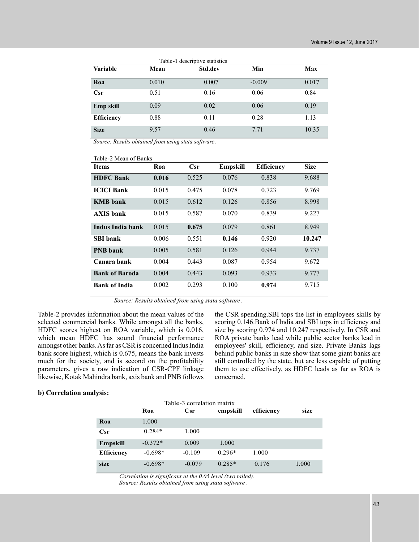| Table-1 descriptive statistics |       |         |          |       |  |  |
|--------------------------------|-------|---------|----------|-------|--|--|
| <b>Variable</b>                | Mean  | Std.dev | Min      | Max   |  |  |
| Roa                            | 0.010 | 0.007   | $-0.009$ | 0.017 |  |  |
| Csr                            | 0.51  | 0.16    | 0.06     | 0.84  |  |  |
| Emp skill                      | 0.09  | 0.02    | 0.06     | 0.19  |  |  |
| <b>Efficiency</b>              | 0.88  | 0.11    | 0.28     | 1.13  |  |  |
| <b>Size</b>                    | 9.57  | 0.46    | 7.71     | 10.35 |  |  |

*Source: Results obtained from using stata software.*

| Table-2 Mean of Banks |       |       |                 |                   |             |  |
|-----------------------|-------|-------|-----------------|-------------------|-------------|--|
| <b>Items</b>          | Roa   | Csr   | <b>Empskill</b> | <b>Efficiency</b> | <b>Size</b> |  |
| <b>HDFC Bank</b>      | 0.016 | 0.525 | 0.076           | 0.838             | 9.688       |  |
| <b>ICICI Bank</b>     | 0.015 | 0.475 | 0.078           | 0.723             | 9.769       |  |
| <b>KMB</b> bank       | 0.015 | 0.612 | 0.126           | 0.856             | 8.998       |  |
| <b>AXIS</b> bank      | 0.015 | 0.587 | 0.070           | 0.839             | 9.227       |  |
| Indus India bank      | 0.015 | 0.675 | 0.079           | 0.861             | 8.949       |  |
| <b>SBI</b> bank       | 0.006 | 0.551 | 0.146           | 0.920             | 10.247      |  |
| <b>PNB</b> bank       | 0.005 | 0.581 | 0.126           | 0.944             | 9.737       |  |
| Canara bank           | 0.004 | 0.443 | 0.087           | 0.954             | 9.672       |  |
| <b>Bank of Baroda</b> | 0.004 | 0.443 | 0.093           | 0.933             | 9.777       |  |
| <b>Bank of India</b>  | 0.002 | 0.293 | 0.100           | 0.974             | 9.715       |  |

*Source: Results obtained from using stata software .*

Table-2 provides information about the mean values of the selected commercial banks. While amongst all the banks, HDFC scores highest on ROA variable, which is 0.016, which mean HDFC has sound financial performance amongst other banks.As far as CSR is concerned Indus India bank score highest, which is 0.675, means the bank invests much for the society, and is second on the profitability parameters, gives a raw indication of CSR-CPF linkage likewise, Kotak Mahindra bank, axis bank and PNB follows

the CSR spending.SBI tops the list in employees skills by scoring 0.146.Bank of India and SBI tops in efficiency and size by scoring 0.974 and 10.247 respectively. In CSR and ROA private banks lead while public sector banks lead in employees' skill, efficiency, and size. Private Banks lags behind public banks in size show that some giant banks are still controlled by the state, but are less capable of putting them to use effectively, as HDFC leads as far as ROA is concerned.

## **b) Correlation analysis:**

| Table-3 correlation matrix |           |          |          |            |       |
|----------------------------|-----------|----------|----------|------------|-------|
|                            | Roa       | Csr      | empskill | efficiency | size  |
| Roa                        | 1.000     |          |          |            |       |
| Csr                        | $0.284*$  | 1.000    |          |            |       |
| Empskill                   | $-0.372*$ | 0.009    | 1.000    |            |       |
| <b>Efficiency</b>          | $-0.698*$ | $-0.109$ | $0.296*$ | 1.000      |       |
| size                       | $-0.698*$ | $-0.079$ | $0.285*$ | 0.176      | 1.000 |

*Correlation is significant at the 0.05 level (two tailed). Source: Results obtained from using stata software.*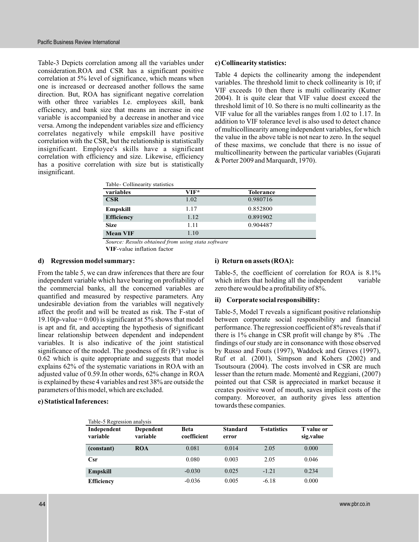Table-3 Depicts correlation among all the variables under consideration.ROA and CSR has a significant positive correlation at 5% level of significance, which means when one is increased or decreased another follows the same direction. But, ROA has significant negative correlation with other three variables I.e. employees skill, bank efficiency, and bank size that means an increase in one variable is accompanied by a decrease in another and vice versa. Among the independent variables size and efficiency correlates negatively while empskill have positive correlation with the CSR, but the relationship is statistically insignificant. Employee's skills have a significant correlation with efficiency and size. Likewise, efficiency has a positive correlation with size but is statistically insignificant.

#### **c) Collinearity statistics:**

Table 4 depicts the collinearity among the independent variables. The threshold limit to check collinearity is 10; if VIF exceeds 10 then there is multi collinearity (Kutner 2004). It is quite clear that VIF value doest exceed the threshold limit of 10. So there is no multi collinearity as the VIF value for all the variables ranges from 1.02 to 1.17. In addition to VIF tolerance level is also used to detect chance of multicollinearity among independent variables, for which the value in the above table is not near to zero. In the sequel of these maxims, we conclude that there is no issue of multicollinearity between the particular variables (Gujarati & Porter 2009 and Marquardt, 1970).

| Table-Collinearity statistics |        |                  |  |  |  |
|-------------------------------|--------|------------------|--|--|--|
| variables                     | $VIF*$ | <b>Tolerance</b> |  |  |  |
| CSR                           | 1.02   | 0.980716         |  |  |  |
| Empskill                      | 1.17   | 0.852800         |  |  |  |
| <b>Efficiency</b>             | 1.12   | 0.891902         |  |  |  |
| <b>Size</b>                   | 1.11   | 0.904487         |  |  |  |
| <b>Mean VIF</b>               | 1.10   |                  |  |  |  |

*Source: Results obtained from using stata software*

**VIF**-value inflation factor

## **d) Regression model summary:**

From the table 5, we can draw inferences that there are four independent variable which have bearing on profitability of the commercial banks, all the concerned variables are quantified and measured by respective parameters. Any undesirable deviation from the variables will negatively affect the profit and will be treated as risk. The F-stat of 19.10(p-value =  $0.00$ ) is significant at 5% shows that model is apt and fit, and accepting the hypothesis of significant linear relationship between dependent and independent variables. It is also indicative of the joint statistical significance of the model. The goodness of fit  $(R^2)$  value is 0.62 which is quite appropriate and suggests that model explains 62% of the systematic variations in ROA with an adjusted value of 0.59.In other words, 62% change in ROA is explained by these 4 variables and rest 38% are outside the parameters of this model, which are excluded.

#### **e) Statistical Inferences:**

#### **i) Return on assets (ROA):**

Table-5, the coefficient of correlation for ROA is 8.1% which infers that holding all the independent variable zero there would be a profitability of 8%.

#### **ii) Corporate social responsibility:**

Table-5, Model T reveals a significant positive relationship between corporate social responsibility and financial performance. The regression coefficient of 8% reveals that if there is 1% change in CSR profit will change by 8% .The findings of our study are in consonance with those observed by Russo and Fouts (1997), Waddock and Graves (1997), Ruf et al. (2001), Simpson and Kohers (2002) and Tsoutsoura (2004). The costs involved in CSR are much lesser than the return made. Momentè and Reggiani, (2007) pointed out that CSR is appreciated in market because it creates positive word of mouth, saves implicit costs of the company. Moreover, an authority gives less attention towards these companies.

| Table-5 Regression analysis |                       |                            |                          |                     |                         |  |
|-----------------------------|-----------------------|----------------------------|--------------------------|---------------------|-------------------------|--|
| Independent<br>variable     | Dependent<br>variable | <b>Beta</b><br>coefficient | <b>Standard</b><br>error | <b>T-statistics</b> | T value or<br>sig.value |  |
| (constant)                  | <b>ROA</b>            | 0.081                      | 0.014                    | 2.05                | 0.000                   |  |
| Csr                         |                       | 0.080                      | 0.003                    | 2.05                | 0.046                   |  |
| Empskill                    |                       | $-0.030$                   | 0.025                    | $-1.21$             | 0.234                   |  |
| <b>Efficiency</b>           |                       | $-0.036$                   | 0.005                    | $-6.18$             | 0.000                   |  |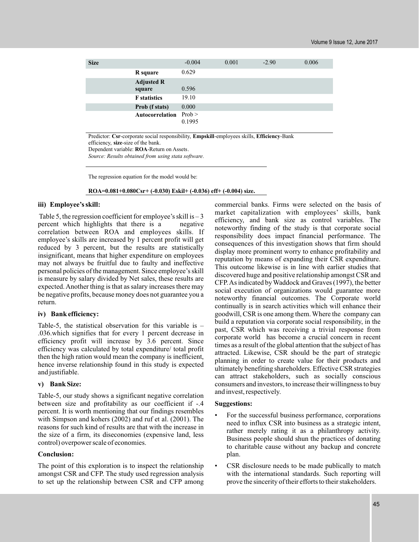| <b>Size</b> |                             | $-0.004$ | 0.001 | $-2.90$ | 0.006 |
|-------------|-----------------------------|----------|-------|---------|-------|
|             | R square                    | 0.629    |       |         |       |
|             | <b>Adjusted R</b><br>square | 0.596    |       |         |       |
|             | <b>F</b> statistics         | 19.10    |       |         |       |
|             | Prob (f stats)              | 0.000    |       |         |       |
|             | Autocorrelation Prob>       | 0.1995   |       |         |       |

Predictor: **Csr**-corporate social responsibility, **Empskill**-employees skills, **Efficiency**-Bank efficiency, **size**-size of the bank.

Dependent variable: **ROA**-Return on Assets.

*Source: Results obtained from using stata software.*

The regression equation for the model would be:

**ROA=0.081+0.080Csr+ (-0.030) Eskil+ (-0.036) eff+ (-0.004) size.**

## **iii) Employee's skill:**

Table 5, the regression coefficient for employee's skill is  $-3$ percent which highlights that there is a negative correlation between ROA and employees skills. If employee's skills are increased by 1 percent profit will get reduced by 3 percent, but the results are statistically insignificant, means that higher expenditure on employees may not always be fruitful due to faulty and ineffective personal policies of the management. Since employee's skill is measure by salary divided by Net sales, these results are expected. Another thing is that as salary increases there may be negative profits, because money does not guarantee you a return.

## **iv) Bank efficiency:**

Table-5, the statistical observation for this variable is – .036.which signifies that for every 1 percent decrease in efficiency profit will increase by 3.6 percent. Since efficiency was calculated by total expenditure/ total profit then the high ration would mean the company is inefficient, hence inverse relationship found in this study is expected and justifiable.

## **v) Bank Size:**

Table-5, our study shows a significant negative correlation between size and profitability as our coefficient if -.4 percent. It is worth mentioning that our findings resembles with Simpson and kohers (2002) and ruf et al. (2001). The reasons for such kind of results are that with the increase in the size of a firm, its diseconomies (expensive land, less control) overpower scale of economies.

## **Conclusion:**

The point of this exploration is to inspect the relationship amongst CSR and CFP. The study used regression analysis to set up the relationship between CSR and CFP among commercial banks. Firms were selected on the basis of market capitalization with employees' skills, bank efficiency, and bank size as control variables. The noteworthy finding of the study is that corporate social responsibility does impact financial performance. The consequences of this investigation shows that firm should display more prominent worry to enhance profitability and reputation by means of expanding their CSR expenditure. This outcome likewise is in line with earlier studies that discovered huge and positive relationship amongst CSR and CFP.As indicated byWaddock and Graves (1997), the better social execution of organizations would guarantee more noteworthy financial outcomes. The Corporate world continually is in search activities which will enhance their goodwill, CSR is one among them.Where the company can build a reputation via corporate social responsibility, in the past, CSR which was receiving a trivial response from corporate world has become a crucial concern in recent times as a result of the global attention that the subject of has attracted. Likewise, CSR should be the part of strategic planning in order to create value for their products and ultimately benefiting shareholders. Effective CSR strategies can attract stakeholders, such as socially conscious consumers and investors, to increase their willingness to buy and invest, respectively.

## **Suggestions:**

- For the successful business performance, corporations need to influx CSR into business as a strategic intent, rather merely rating it as a philanthropy activity. Business people should shun the practices of donating to charitable cause without any backup and concrete plan.
- CSR disclosure needs to be made publically to match with the international standards. Such reporting will prove the sincerity of their efforts to their stakeholders.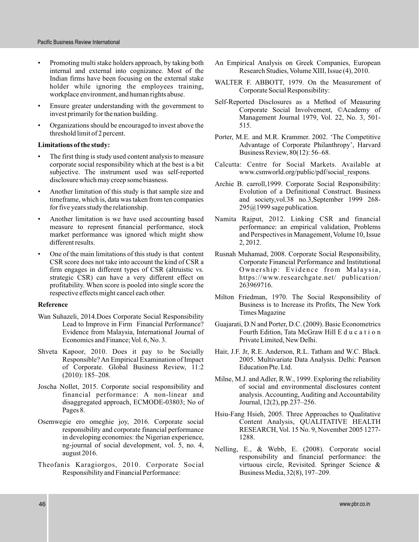- Promoting multi stake holders approach, by taking both internal and external into cognizance. Most of the Indian firms have been focusing on the external stake holder while ignoring the employees training. workplace environment, and human rights abuse.
- Ensure greater understanding with the government to invest primarily for the nation building.
- Organizations should be encouraged to invest above the threshold limit of 2 percent.

## **Limitations of the study:**

- The first thing is study used content analysis to measure corporate social responsibility which at the best is a bit subjective. The instrument used was self-reported disclosure which may creep some biasness.
- Another limitation of this study is that sample size and timeframe, which is, data was taken from ten companies for five years study the relationship.
- Another limitation is we have used accounting based measure to represent financial performance, stock market performance was ignored which might show different results.
- One of the main limitations of this study is that content CSR score does not take into account the kind of CSR a firm engages in different types of CSR (altruistic vs. strategic CSR) can have a very different effect on profitability. When score is pooled into single score the respective effects might cancel each other.

## **Reference**

- Wan Suhazeli, 2014.Does Corporate Social Responsibility Lead to Improve in Firm Financial Performance? Evidence from Malaysia, International Journal of Economics and Finance; Vol. 6, No. 3.
- Shveta Kapoor, 2010. Does it pay to be Socially Responsible? An Empirical Examination of Impact of Corporate. Global Business Review, 11:2 (2010): 185–208.
- Joscha Nollet, 2015. Corporate social responsibility and financial performance: A non-linear and disaggregated approach, ECMODE-03803; No of Pages 8.
- Osemwegie ero omeghie joy, 2016. Corporate social responsibility and corporate financial performance in developing economies: the Nigerian experience, ng-journal of social development, vol. 5, no. 4, august 2016.
- Theofanis Karagiorgos, 2010. Corporate Social Responsibility and Financial Performance:
- An Empirical Analysis on Greek Companies, European Research Studies, Volume XIII, Issue (4), 2010.
- WALTER F. ABBOTT, 1979. On the Measurement of Corporate Social Responsibility:
- Self-Reported Disclosures as a Method of Measuring Corporate Social Involvement, ©Academy of Management Journal 1979, Vol. 22, No. 3, 501- 515.
- Porter, M.E. and M.R. Krammer. 2002. 'The Competitive Advantage of Corporate Philanthropy', Harvard Business Review, 80(12): 56–68.
- Calcutta: Centre for Social Markets. Available at www.csmworld.org/public/pdf/social\_respons.
- Archie B. carroll,1999. Corporate Social Responsibility: Evolution of a Definitional Construct. Business and society,vol.38 no.3,September 1999 268-  $295@1999$  sage publication.
- Namita Rajput, 2012. Linking CSR and financial performance: an empirical validation, Problems and Perspectives in Management, Volume 10, Issue 2, 2012.
- Rusnah Muhamad, 2008. Corporate Social Responsibility, Corporate Financial Performance and Institutional Ownership: Evidence from Malaysia, https://www.researchgate.net/ publication/ 263969716.
- Milton Friedman, 1970. The Social Responsibility of Business is to Increase its Profits, The New York Times Magazine
- Guajarati, D.N and Porter, D.C. (2009). Basic Econometrics Fourth Edition, Tata McGraw Hill E d u c a t i o n Private Limited, New Delhi.
- Hair, J.F. Jr, R.E. Anderson, R.L. Tatham and W.C. Black. 2005. Multivariate Data Analysis. Delhi: Pearson Education Pte. Ltd.
- Milne, M.J. and Adler, R.W., 1999. Exploring the reliability of social and environmental disclosures content analysis. Accounting, Auditing and Accountability Journal, 12(2), pp.237–256.
- Hsiu-Fang Hsieh, 2005. Three Approaches to Qualitative Content Analysis, QUALITATIVE HEALTH RESEARCH, Vol. 15 No. 9, November 2005 1277- 1288.
- Nelling, E., & Webb, E. (2008). Corporate social responsibility and financial performance: the virtuous circle, Revisited. Springer Science & Business Media, 32(8), 197–209.